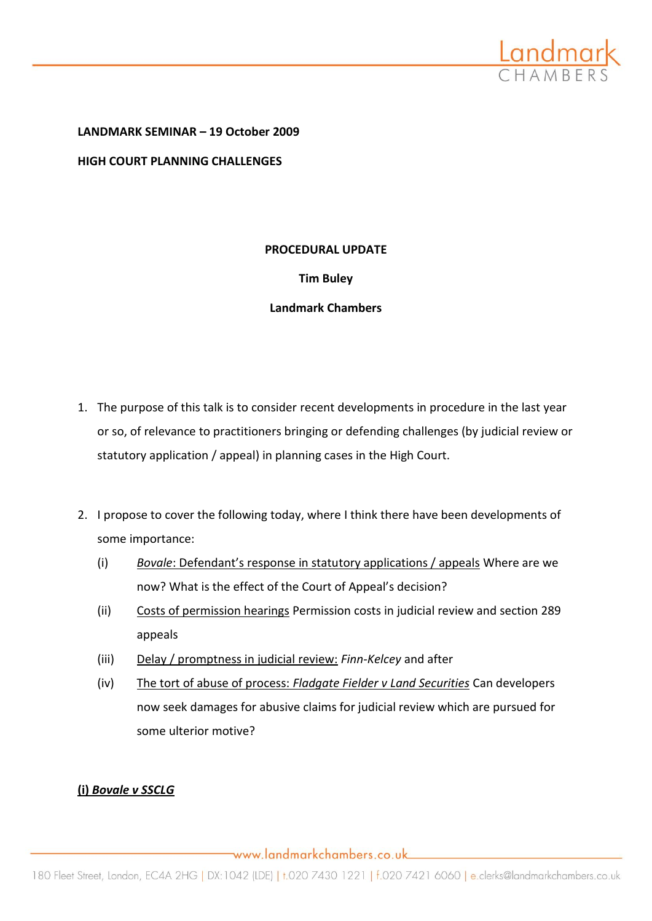

**LANDMARK SEMINAR – 19 October 2009 HIGH COURT PLANNING CHALLENGES**

#### **PROCEDURAL UPDATE**

## **Tim Buley**

## **Landmark Chambers**

- 1. The purpose of this talk is to consider recent developments in procedure in the last year or so, of relevance to practitioners bringing or defending challenges (by judicial review or statutory application / appeal) in planning cases in the High Court.
- 2. I propose to cover the following today, where I think there have been developments of some importance:
	- (i) *Bovale*: Defendant's response in statutory applications / appeals Where are we now? What is the effect of the Court of Appeal's decision?
	- (ii) Costs of permission hearings Permission costs in judicial review and section 289 appeals
	- (iii) Delay / promptness in judicial review: *Finn-Kelcey* and after
	- (iv) The tort of abuse of process: *Fladgate Fielder v Land Securities* Can developers now seek damages for abusive claims for judicial review which are pursued for some ulterior motive?

# **(i)** *Bovale v SSCLG*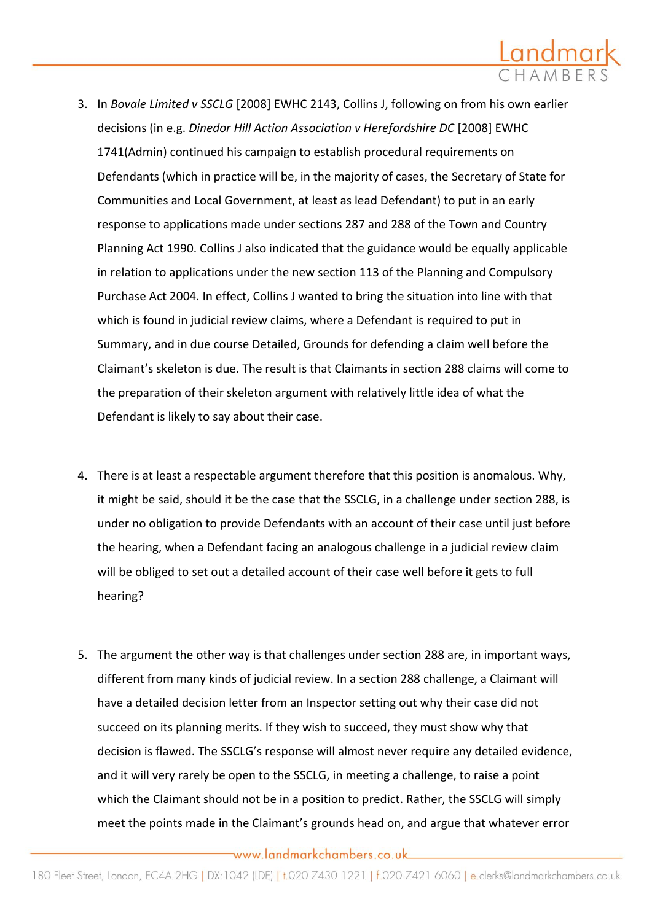

- 3. In *Bovale Limited v SSCLG* [2008] EWHC 2143, Collins J, following on from his own earlier decisions (in e.g. *Dinedor Hill Action Association v Herefordshire DC* [2008] EWHC 1741(Admin) continued his campaign to establish procedural requirements on Defendants (which in practice will be, in the majority of cases, the Secretary of State for Communities and Local Government, at least as lead Defendant) to put in an early response to applications made under sections 287 and 288 of the Town and Country Planning Act 1990. Collins J also indicated that the guidance would be equally applicable in relation to applications under the new section 113 of the Planning and Compulsory Purchase Act 2004. In effect, Collins J wanted to bring the situation into line with that which is found in judicial review claims, where a Defendant is required to put in Summary, and in due course Detailed, Grounds for defending a claim well before the Claimant's skeleton is due. The result is that Claimants in section 288 claims will come to the preparation of their skeleton argument with relatively little idea of what the Defendant is likely to say about their case.
- 4. There is at least a respectable argument therefore that this position is anomalous. Why, it might be said, should it be the case that the SSCLG, in a challenge under section 288, is under no obligation to provide Defendants with an account of their case until just before the hearing, when a Defendant facing an analogous challenge in a judicial review claim will be obliged to set out a detailed account of their case well before it gets to full hearing?
- 5. The argument the other way is that challenges under section 288 are, in important ways, different from many kinds of judicial review. In a section 288 challenge, a Claimant will have a detailed decision letter from an Inspector setting out why their case did not succeed on its planning merits. If they wish to succeed, they must show why that decision is flawed. The SSCLG's response will almost never require any detailed evidence, and it will very rarely be open to the SSCLG, in meeting a challenge, to raise a point which the Claimant should not be in a position to predict. Rather, the SSCLG will simply meet the points made in the Claimant's grounds head on, and argue that whatever error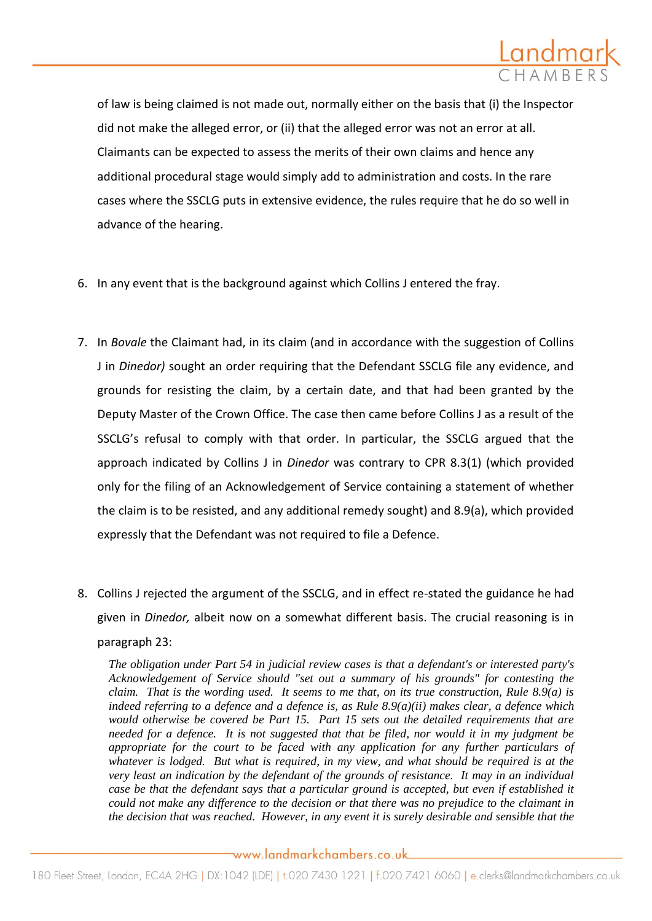

of law is being claimed is not made out, normally either on the basis that (i) the Inspector did not make the alleged error, or (ii) that the alleged error was not an error at all. Claimants can be expected to assess the merits of their own claims and hence any additional procedural stage would simply add to administration and costs. In the rare cases where the SSCLG puts in extensive evidence, the rules require that he do so well in advance of the hearing.

- 6. In any event that is the background against which Collins J entered the fray.
- 7. In *Bovale* the Claimant had, in its claim (and in accordance with the suggestion of Collins J in *Dinedor)* sought an order requiring that the Defendant SSCLG file any evidence, and grounds for resisting the claim, by a certain date, and that had been granted by the Deputy Master of the Crown Office. The case then came before Collins J as a result of the SSCLG's refusal to comply with that order. In particular, the SSCLG argued that the approach indicated by Collins J in *Dinedor* was contrary to CPR 8.3(1) (which provided only for the filing of an Acknowledgement of Service containing a statement of whether the claim is to be resisted, and any additional remedy sought) and 8.9(a), which provided expressly that the Defendant was not required to file a Defence.
- 8. Collins J rejected the argument of the SSCLG, and in effect re-stated the guidance he had given in *Dinedor,* albeit now on a somewhat different basis. The crucial reasoning is in paragraph 23:

*The obligation under Part 54 in judicial review cases is that a defendant's or interested party's Acknowledgement of Service should "set out a summary of his grounds" for contesting the claim. That is the wording used. It seems to me that, on its true construction, Rule 8.9(a) is indeed referring to a defence and a defence is, as Rule 8.9(a)(ii) makes clear, a defence which would otherwise be covered be Part 15. Part 15 sets out the detailed requirements that are needed for a defence. It is not suggested that that be filed, nor would it in my judgment be appropriate for the court to be faced with any application for any further particulars of whatever is lodged. But what is required, in my view, and what should be required is at the very least an indication by the defendant of the grounds of resistance. It may in an individual case be that the defendant says that a particular ground is accepted, but even if established it could not make any difference to the decision or that there was no prejudice to the claimant in the decision that was reached. However, in any event it is surely desirable and sensible that the*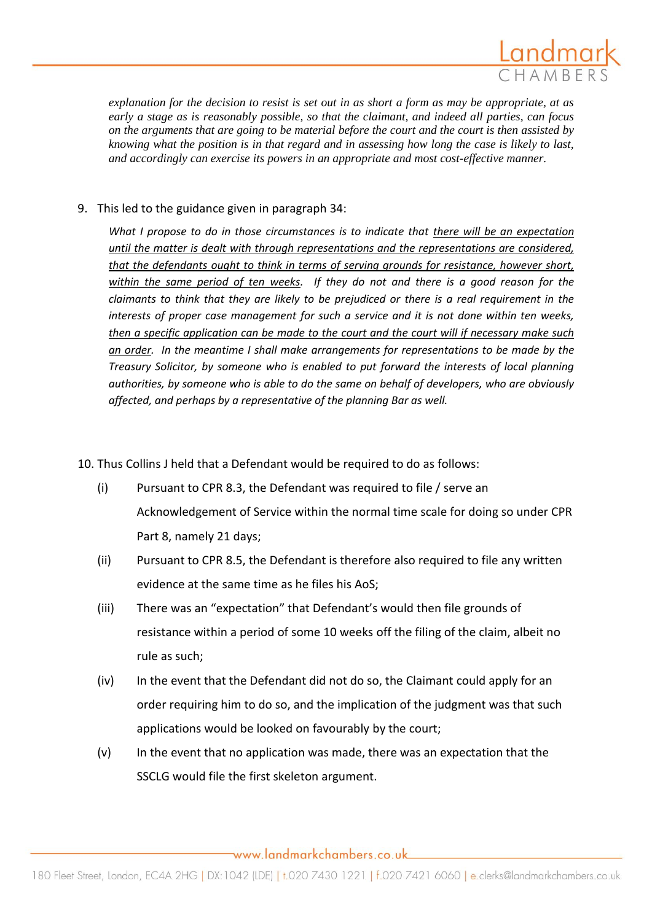

*explanation for the decision to resist is set out in as short a form as may be appropriate, at as early a stage as is reasonably possible, so that the claimant, and indeed all parties, can focus on the arguments that are going to be material before the court and the court is then assisted by knowing what the position is in that regard and in assessing how long the case is likely to last, and accordingly can exercise its powers in an appropriate and most cost-effective manner.*

## 9. This led to the guidance given in paragraph 34:

*What I propose to do in those circumstances is to indicate that there will be an expectation until the matter is dealt with through representations and the representations are considered, that the defendants ought to think in terms of serving grounds for resistance, however short, within the same period of ten weeks. If they do not and there is a good reason for the claimants to think that they are likely to be prejudiced or there is a real requirement in the interests of proper case management for such a service and it is not done within ten weeks, then a specific application can be made to the court and the court will if necessary make such an order. In the meantime I shall make arrangements for representations to be made by the Treasury Solicitor, by someone who is enabled to put forward the interests of local planning authorities, by someone who is able to do the same on behalf of developers, who are obviously affected, and perhaps by a representative of the planning Bar as well.*

- 10. Thus Collins J held that a Defendant would be required to do as follows:
	- (i) Pursuant to CPR 8.3, the Defendant was required to file / serve an Acknowledgement of Service within the normal time scale for doing so under CPR Part 8, namely 21 days;
	- (ii) Pursuant to CPR 8.5, the Defendant is therefore also required to file any written evidence at the same time as he files his AoS;
	- (iii) There was an "expectation" that Defendant's would then file grounds of resistance within a period of some 10 weeks off the filing of the claim, albeit no rule as such;
	- (iv) In the event that the Defendant did not do so, the Claimant could apply for an order requiring him to do so, and the implication of the judgment was that such applications would be looked on favourably by the court;
	- (v) In the event that no application was made, there was an expectation that the SSCLG would file the first skeleton argument.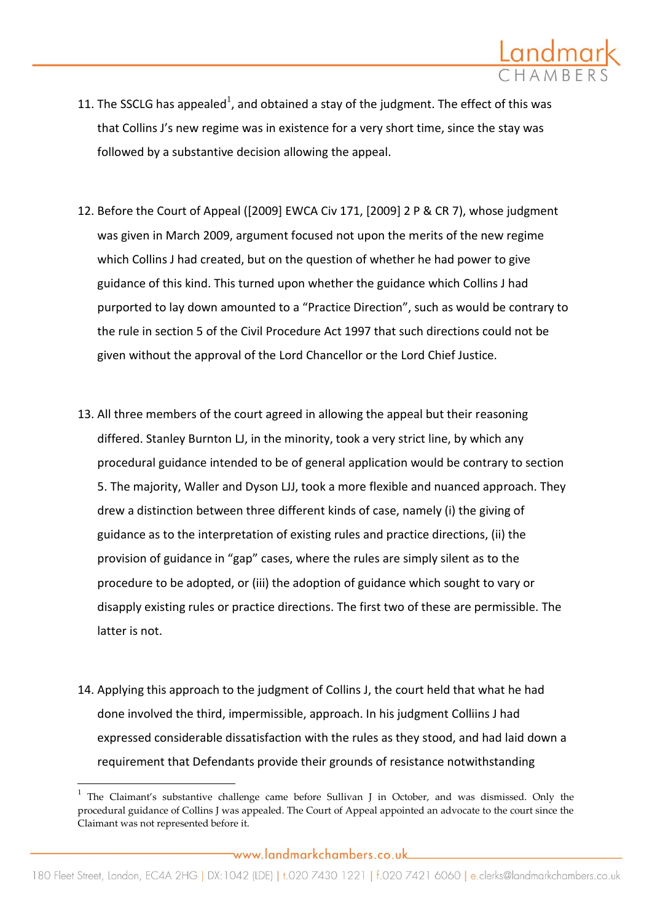

- 11. The SSCLG has appealed<sup>1</sup>, and obtained a stay of the judgment. The effect of this was that Collins J's new regime was in existence for a very short time, since the stay was followed by a substantive decision allowing the appeal.
- 12. Before the Court of Appeal ([2009] EWCA Civ 171, [2009] 2 P & CR 7), whose judgment was given in March 2009, argument focused not upon the merits of the new regime which Collins J had created, but on the question of whether he had power to give guidance of this kind. This turned upon whether the guidance which Collins J had purported to lay down amounted to a "Practice Direction", such as would be contrary to the rule in section 5 of the Civil Procedure Act 1997 that such directions could not be given without the approval of the Lord Chancellor or the Lord Chief Justice.
- 13. All three members of the court agreed in allowing the appeal but their reasoning differed. Stanley Burnton LJ, in the minority, took a very strict line, by which any procedural guidance intended to be of general application would be contrary to section 5. The majority, Waller and Dyson LJJ, took a more flexible and nuanced approach. They drew a distinction between three different kinds of case, namely (i) the giving of guidance as to the interpretation of existing rules and practice directions, (ii) the provision of guidance in "gap" cases, where the rules are simply silent as to the procedure to be adopted, or (iii) the adoption of guidance which sought to vary or disapply existing rules or practice directions. The first two of these are permissible. The latter is not.
- 14. Applying this approach to the judgment of Collins J, the court held that what he had done involved the third, impermissible, approach. In his judgment Colliins J had expressed considerable dissatisfaction with the rules as they stood, and had laid down a requirement that Defendants provide their grounds of resistance notwithstanding

 $\overline{\phantom{a}}$ 

<sup>1</sup> The Claimant's substantive challenge came before Sullivan J in October, and was dismissed. Only the procedural guidance of Collins J was appealed. The Court of Appeal appointed an advocate to the court since the Claimant was not represented before it.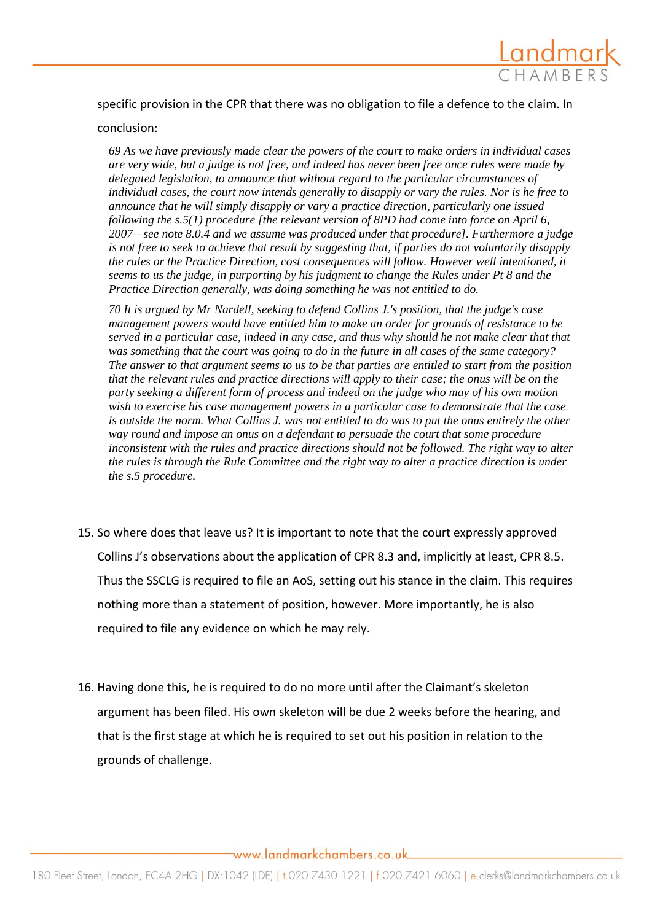

specific provision in the CPR that there was no obligation to file a defence to the claim. In

#### conclusion:

*69 As we have previously made clear the powers of the court to make orders in individual cases are very wide, but a judge is not free, and indeed has never been free once rules were made by delegated legislation, to announce that without regard to the particular circumstances of individual cases, the court now intends generally to disapply or vary the rules. Nor is he free to announce that he will simply disapply or vary a practice direction, particularly one issued following the s.5(1) procedure [the relevant version of 8PD had come into force on April 6, 2007—see note 8.0.4 and we assume was produced under that procedure]. Furthermore a judge is not free to seek to achieve that result by suggesting that, if parties do not voluntarily disapply the rules or the Practice Direction, cost consequences will follow. However well intentioned, it seems to us the judge, in purporting by his judgment to change the Rules under Pt 8 and the Practice Direction generally, was doing something he was not entitled to do.* 

*70 It is argued by Mr Nardell, seeking to defend Collins J.'s position, that the judge's case management powers would have entitled him to make an order for grounds of resistance to be served in a particular case, indeed in any case, and thus why should he not make clear that that was something that the court was going to do in the future in all cases of the same category? The answer to that argument seems to us to be that parties are entitled to start from the position that the relevant rules and practice directions will apply to their case; the onus will be on the party seeking a different form of process and indeed on the judge who may of his own motion wish to exercise his case management powers in a particular case to demonstrate that the case is outside the norm. What Collins J. was not entitled to do was to put the onus entirely the other way round and impose an onus on a defendant to persuade the court that some procedure*  inconsistent with the rules and practice directions should not be followed. The right way to alter *the rules is through the Rule Committee and the right way to alter a practice direction is under the s.5 procedure.* 

- 15. So where does that leave us? It is important to note that the court expressly approved Collins J's observations about the application of CPR 8.3 and, implicitly at least, CPR 8.5. Thus the SSCLG is required to file an AoS, setting out his stance in the claim. This requires nothing more than a statement of position, however. More importantly, he is also required to file any evidence on which he may rely.
- 16. Having done this, he is required to do no more until after the Claimant's skeleton argument has been filed. His own skeleton will be due 2 weeks before the hearing, and that is the first stage at which he is required to set out his position in relation to the grounds of challenge.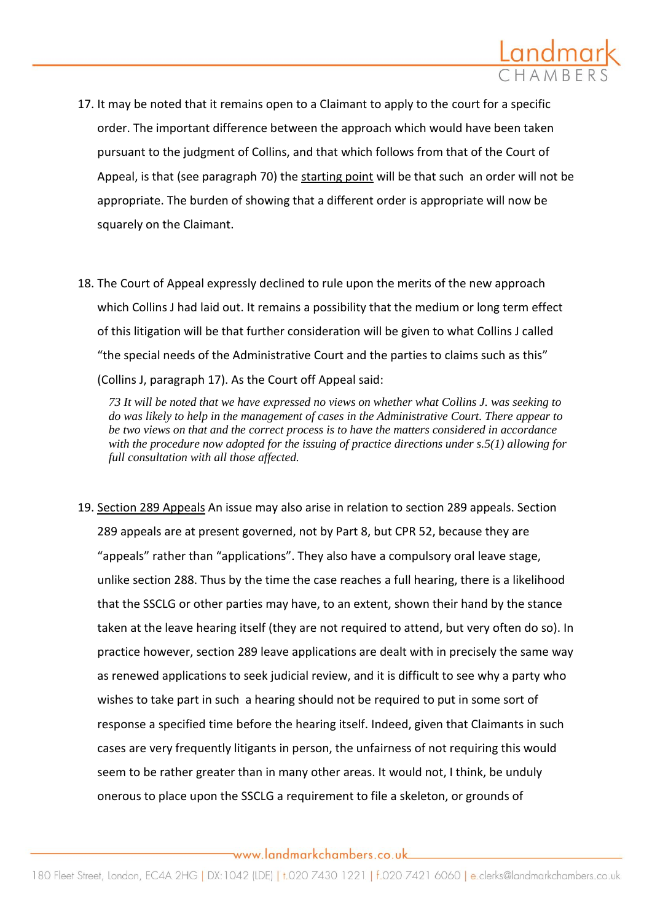

- 17. It may be noted that it remains open to a Claimant to apply to the court for a specific order. The important difference between the approach which would have been taken pursuant to the judgment of Collins, and that which follows from that of the Court of Appeal, is that (see paragraph 70) the starting point will be that such an order will not be appropriate. The burden of showing that a different order is appropriate will now be squarely on the Claimant.
- 18. The Court of Appeal expressly declined to rule upon the merits of the new approach which Collins J had laid out. It remains a possibility that the medium or long term effect of this litigation will be that further consideration will be given to what Collins J called "the special needs of the Administrative Court and the parties to claims such as this" (Collins J, paragraph 17). As the Court off Appeal said:

*73 It will be noted that we have expressed no views on whether what Collins J. was seeking to do was likely to help in the management of cases in the Administrative Court. There appear to be two views on that and the correct process is to have the matters considered in accordance with the procedure now adopted for the issuing of practice directions under s.5(1) allowing for full consultation with all those affected.* 

19. Section 289 Appeals An issue may also arise in relation to section 289 appeals. Section 289 appeals are at present governed, not by Part 8, but CPR 52, because they are "appeals" rather than "applications". They also have a compulsory oral leave stage, unlike section 288. Thus by the time the case reaches a full hearing, there is a likelihood that the SSCLG or other parties may have, to an extent, shown their hand by the stance taken at the leave hearing itself (they are not required to attend, but very often do so). In practice however, section 289 leave applications are dealt with in precisely the same way as renewed applications to seek judicial review, and it is difficult to see why a party who wishes to take part in such a hearing should not be required to put in some sort of response a specified time before the hearing itself. Indeed, given that Claimants in such cases are very frequently litigants in person, the unfairness of not requiring this would seem to be rather greater than in many other areas. It would not, I think, be unduly onerous to place upon the SSCLG a requirement to file a skeleton, or grounds of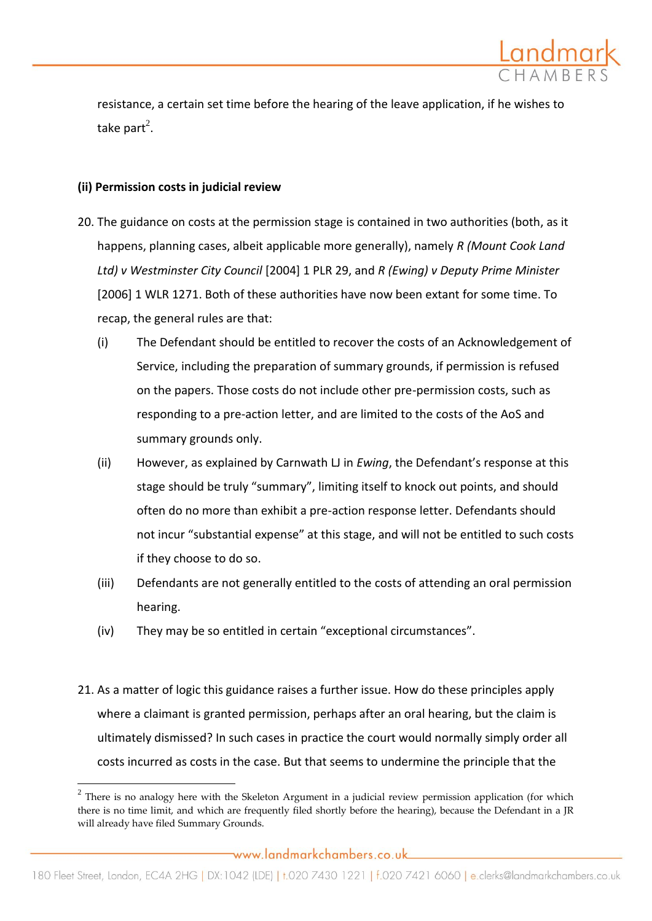

resistance, a certain set time before the hearing of the leave application, if he wishes to take part<sup>2</sup>.

## **(ii) Permission costs in judicial review**

 $\overline{\phantom{a}}$ 

- 20. The guidance on costs at the permission stage is contained in two authorities (both, as it happens, planning cases, albeit applicable more generally), namely *R (Mount Cook Land Ltd) v Westminster City Council* [2004] 1 PLR 29, and *R (Ewing) v Deputy Prime Minister*  [2006] 1 WLR 1271. Both of these authorities have now been extant for some time. To recap, the general rules are that:
	- (i) The Defendant should be entitled to recover the costs of an Acknowledgement of Service, including the preparation of summary grounds, if permission is refused on the papers. Those costs do not include other pre-permission costs, such as responding to a pre-action letter, and are limited to the costs of the AoS and summary grounds only.
	- (ii) However, as explained by Carnwath LJ in *Ewing*, the Defendant's response at this stage should be truly "summary", limiting itself to knock out points, and should often do no more than exhibit a pre-action response letter. Defendants should not incur "substantial expense" at this stage, and will not be entitled to such costs if they choose to do so.
	- (iii) Defendants are not generally entitled to the costs of attending an oral permission hearing.
	- (iv) They may be so entitled in certain "exceptional circumstances".
- 21. As a matter of logic this guidance raises a further issue. How do these principles apply where a claimant is granted permission, perhaps after an oral hearing, but the claim is ultimately dismissed? In such cases in practice the court would normally simply order all costs incurred as costs in the case. But that seems to undermine the principle that the

 $2$  There is no analogy here with the Skeleton Argument in a judicial review permission application (for which there is no time limit, and which are frequently filed shortly before the hearing), because the Defendant in a JR will already have filed Summary Grounds.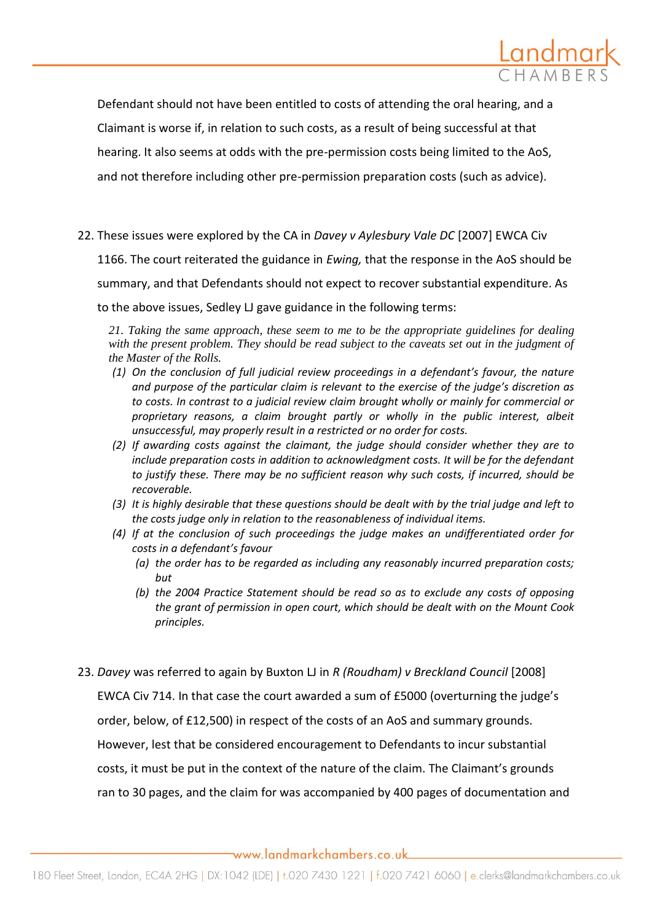

Defendant should not have been entitled to costs of attending the oral hearing, and a Claimant is worse if, in relation to such costs, as a result of being successful at that hearing. It also seems at odds with the pre-permission costs being limited to the AoS, and not therefore including other pre-permission preparation costs (such as advice).

22. These issues were explored by the CA in *Davey v Aylesbury Vale DC* [2007] EWCA Civ

1166. The court reiterated the guidance in *Ewing,* that the response in the AoS should be

summary, and that Defendants should not expect to recover substantial expenditure. As

to the above issues, Sedley LJ gave guidance in the following terms:

*21. Taking the same approach, these seem to me to be the appropriate guidelines for dealing with the present problem. They should be read subject to the caveats set out in the judgment of the Master of the Rolls.* 

- *(1) On the conclusion of full judicial review proceedings in a defendant's favour, the nature and purpose of the particular claim is relevant to the exercise of the judge's discretion as to costs. In contrast to a judicial review claim brought wholly or mainly for commercial or proprietary reasons, a claim brought partly or wholly in the public interest, albeit unsuccessful, may properly result in a restricted or no order for costs.*
- *(2) If awarding costs against the claimant, the judge should consider whether they are to include preparation costs in addition to acknowledgment costs. It will be for the defendant to justify these. There may be no sufficient reason why such costs, if incurred, should be recoverable.*
- *(3) It is highly desirable that these questions should be dealt with by the trial judge and left to the costs judge only in relation to the reasonableness of individual items.*
- *(4) If at the conclusion of such proceedings the judge makes an undifferentiated order for costs in a defendant's favour*
	- *(a) the order has to be regarded as including any reasonably incurred preparation costs; but*
	- *(b) the 2004 Practice Statement should be read so as to exclude any costs of opposing the grant of permission in open court, which should be dealt with on the Mount Cook principles.*
- 23. *Davey* was referred to again by Buxton LJ in *R (Roudham) v Breckland Council* [2008]

EWCA Civ 714. In that case the court awarded a sum of £5000 (overturning the judge's

order, below, of £12,500) in respect of the costs of an AoS and summary grounds.

However, lest that be considered encouragement to Defendants to incur substantial

costs, it must be put in the context of the nature of the claim. The Claimant's grounds

ran to 30 pages, and the claim for was accompanied by 400 pages of documentation and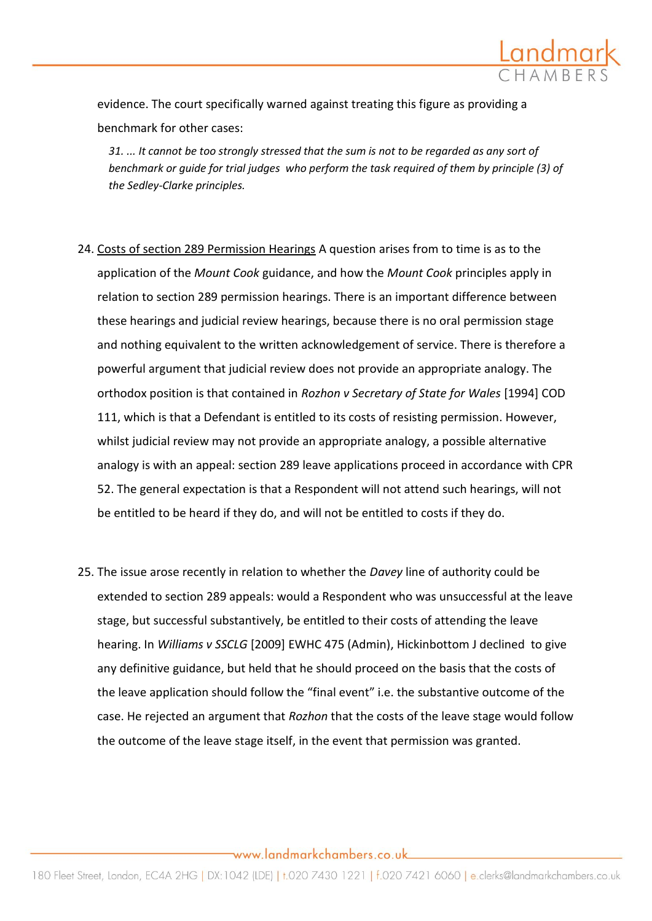

evidence. The court specifically warned against treating this figure as providing a benchmark for other cases:

*31. ... It cannot be too strongly stressed that the sum is not to be regarded as any sort of benchmark or guide for trial judges who perform the task required of them by principle (3) of the Sedley-Clarke principles.* 

- 24. Costs of section 289 Permission Hearings A question arises from to time is as to the application of the *Mount Cook* guidance, and how the *Mount Cook* principles apply in relation to section 289 permission hearings. There is an important difference between these hearings and judicial review hearings, because there is no oral permission stage and nothing equivalent to the written acknowledgement of service. There is therefore a powerful argument that judicial review does not provide an appropriate analogy. The orthodox position is that contained in *Rozhon v Secretary of State for Wales* [1994] COD 111, which is that a Defendant is entitled to its costs of resisting permission. However, whilst judicial review may not provide an appropriate analogy, a possible alternative analogy is with an appeal: section 289 leave applications proceed in accordance with CPR 52. The general expectation is that a Respondent will not attend such hearings, will not be entitled to be heard if they do, and will not be entitled to costs if they do.
- 25. The issue arose recently in relation to whether the *Davey* line of authority could be extended to section 289 appeals: would a Respondent who was unsuccessful at the leave stage, but successful substantively, be entitled to their costs of attending the leave hearing. In *Williams v SSCLG* [2009] EWHC 475 (Admin), Hickinbottom J declined to give any definitive guidance, but held that he should proceed on the basis that the costs of the leave application should follow the "final event" i.e. the substantive outcome of the case. He rejected an argument that *Rozhon* that the costs of the leave stage would follow the outcome of the leave stage itself, in the event that permission was granted.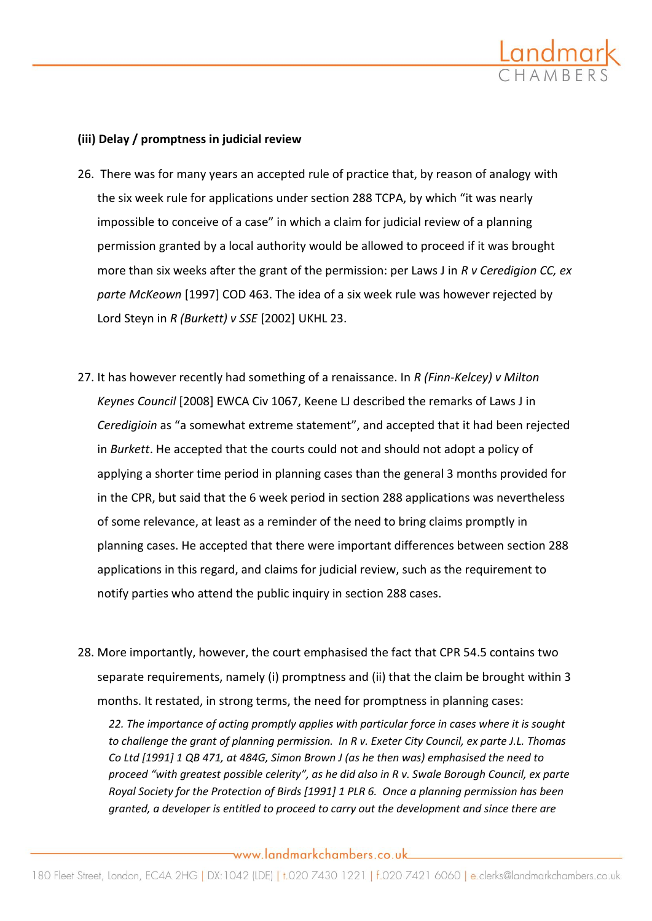

## **(iii) Delay / promptness in judicial review**

- 26. There was for many years an accepted rule of practice that, by reason of analogy with the six week rule for applications under section 288 TCPA, by which "it was nearly impossible to conceive of a case" in which a claim for judicial review of a planning permission granted by a local authority would be allowed to proceed if it was brought more than six weeks after the grant of the permission: per Laws J in *R v Ceredigion CC, ex parte McKeown* [1997] COD 463. The idea of a six week rule was however rejected by Lord Steyn in *R (Burkett) v SSE* [2002] UKHL 23.
- 27. It has however recently had something of a renaissance. In *R (Finn-Kelcey) v Milton Keynes Council* [2008] EWCA Civ 1067, Keene LJ described the remarks of Laws J in *Ceredigioin* as "a somewhat extreme statement", and accepted that it had been rejected in *Burkett*. He accepted that the courts could not and should not adopt a policy of applying a shorter time period in planning cases than the general 3 months provided for in the CPR, but said that the 6 week period in section 288 applications was nevertheless of some relevance, at least as a reminder of the need to bring claims promptly in planning cases. He accepted that there were important differences between section 288 applications in this regard, and claims for judicial review, such as the requirement to notify parties who attend the public inquiry in section 288 cases.
- 28. More importantly, however, the court emphasised the fact that CPR 54.5 contains two separate requirements, namely (i) promptness and (ii) that the claim be brought within 3 months. It restated, in strong terms, the need for promptness in planning cases:

*22. The importance of acting promptly applies with particular force in cases where it is sought to challenge the grant of planning permission. In R v. Exeter City Council, ex parte J.L. Thomas Co Ltd [1991] 1 QB 471, at 484G, Simon Brown J (as he then was) emphasised the need to proceed "with greatest possible celerity", as he did also in R v. Swale Borough Council, ex parte Royal Society for the Protection of Birds [1991] 1 PLR 6. Once a planning permission has been granted, a developer is entitled to proceed to carry out the development and since there are*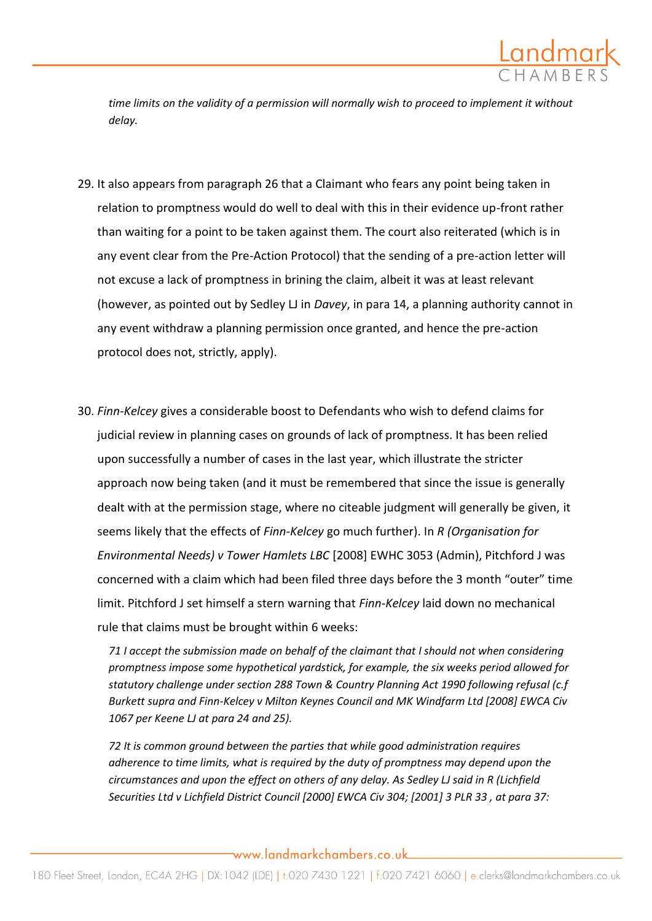

*time limits on the validity of a permission will normally wish to proceed to implement it without delay.* 

- 29. It also appears from paragraph 26 that a Claimant who fears any point being taken in relation to promptness would do well to deal with this in their evidence up-front rather than waiting for a point to be taken against them. The court also reiterated (which is in any event clear from the Pre-Action Protocol) that the sending of a pre-action letter will not excuse a lack of promptness in brining the claim, albeit it was at least relevant (however, as pointed out by Sedley LJ in *Davey*, in para 14, a planning authority cannot in any event withdraw a planning permission once granted, and hence the pre-action protocol does not, strictly, apply).
- 30. *Finn-Kelcey* gives a considerable boost to Defendants who wish to defend claims for judicial review in planning cases on grounds of lack of promptness. It has been relied upon successfully a number of cases in the last year, which illustrate the stricter approach now being taken (and it must be remembered that since the issue is generally dealt with at the permission stage, where no citeable judgment will generally be given, it seems likely that the effects of *Finn-Kelcey* go much further). In *R (Organisation for Environmental Needs) v Tower Hamlets LBC* [2008] EWHC 3053 (Admin), Pitchford J was concerned with a claim which had been filed three days before the 3 month "outer" time limit. Pitchford J set himself a stern warning that *Finn-Kelcey* laid down no mechanical rule that claims must be brought within 6 weeks:

*71 I accept the submission made on behalf of the claimant that I should not when considering promptness impose some hypothetical yardstick, for example, the six weeks period allowed for statutory challenge under section 288 Town & Country Planning Act 1990 following refusal (c.f Burkett supra and Finn-Kelcey v Milton Keynes Council and MK Windfarm Ltd [2008] EWCA Civ 1067 per Keene LJ at para 24 and 25).*

*72 It is common ground between the parties that while good administration requires adherence to time limits, what is required by the duty of promptness may depend upon the circumstances and upon the effect on others of any delay. As Sedley LJ said in R (Lichfield Securities Ltd v Lichfield District Council [2000] EWCA Civ 304; [2001] 3 PLR 33 , at para 37:*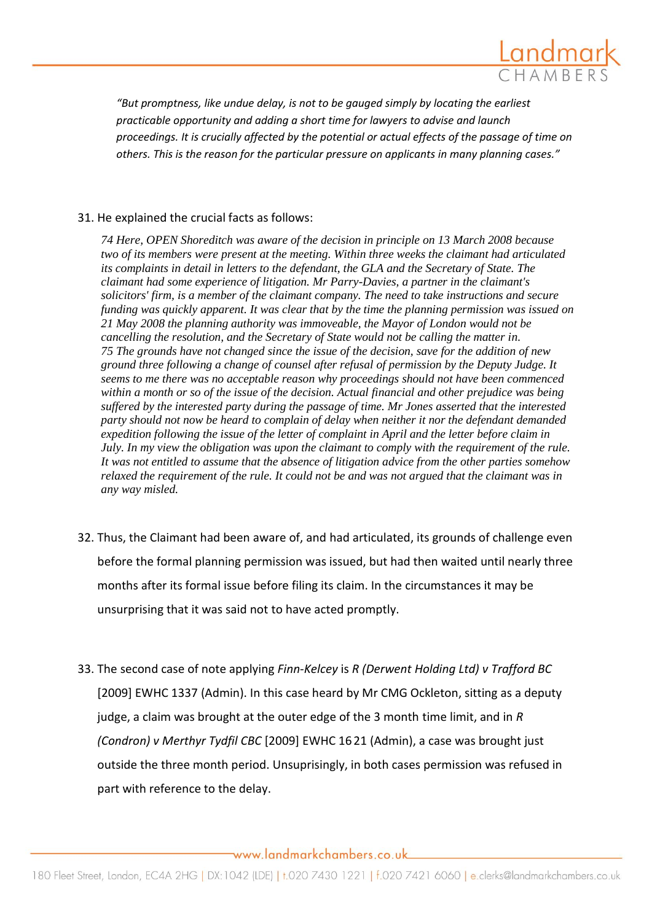

*"But promptness, like undue delay, is not to be gauged simply by locating the earliest practicable opportunity and adding a short time for lawyers to advise and launch proceedings. It is crucially affected by the potential or actual effects of the passage of time on others. This is the reason for the particular pressure on applicants in many planning cases."*

### 31. He explained the crucial facts as follows:

*74 Here, OPEN Shoreditch was aware of the decision in principle on 13 March 2008 because two of its members were present at the meeting. Within three weeks the claimant had articulated its complaints in detail in letters to the defendant, the GLA and the Secretary of State. The claimant had some experience of litigation. Mr Parry-Davies, a partner in the claimant's solicitors' firm, is a member of the claimant company. The need to take instructions and secure funding was quickly apparent. It was clear that by the time the planning permission was issued on 21 May 2008 the planning authority was immoveable, the Mayor of London would not be cancelling the resolution, and the Secretary of State would not be calling the matter in. 75 The grounds have not changed since the issue of the decision, save for the addition of new ground three following a change of counsel after refusal of permission by the Deputy Judge. It seems to me there was no acceptable reason why proceedings should not have been commenced within a month or so of the issue of the decision. Actual financial and other prejudice was being suffered by the interested party during the passage of time. Mr Jones asserted that the interested party should not now be heard to complain of delay when neither it nor the defendant demanded expedition following the issue of the letter of complaint in April and the letter before claim in July. In my view the obligation was upon the claimant to comply with the requirement of the rule. It was not entitled to assume that the absence of litigation advice from the other parties somehow relaxed the requirement of the rule. It could not be and was not argued that the claimant was in any way misled.*

- 32. Thus, the Claimant had been aware of, and had articulated, its grounds of challenge even before the formal planning permission was issued, but had then waited until nearly three months after its formal issue before filing its claim. In the circumstances it may be unsurprising that it was said not to have acted promptly.
- 33. The second case of note applying *Finn-Kelcey* is *R (Derwent Holding Ltd) v Trafford BC*  [2009] EWHC 1337 (Admin). In this case heard by Mr CMG Ockleton, sitting as a deputy judge, a claim was brought at the outer edge of the 3 month time limit, and in *R (Condron) v Merthyr Tydfil CBC* [2009] EWHC 16 21 (Admin), a case was brought just outside the three month period. Unsuprisingly, in both cases permission was refused in part with reference to the delay.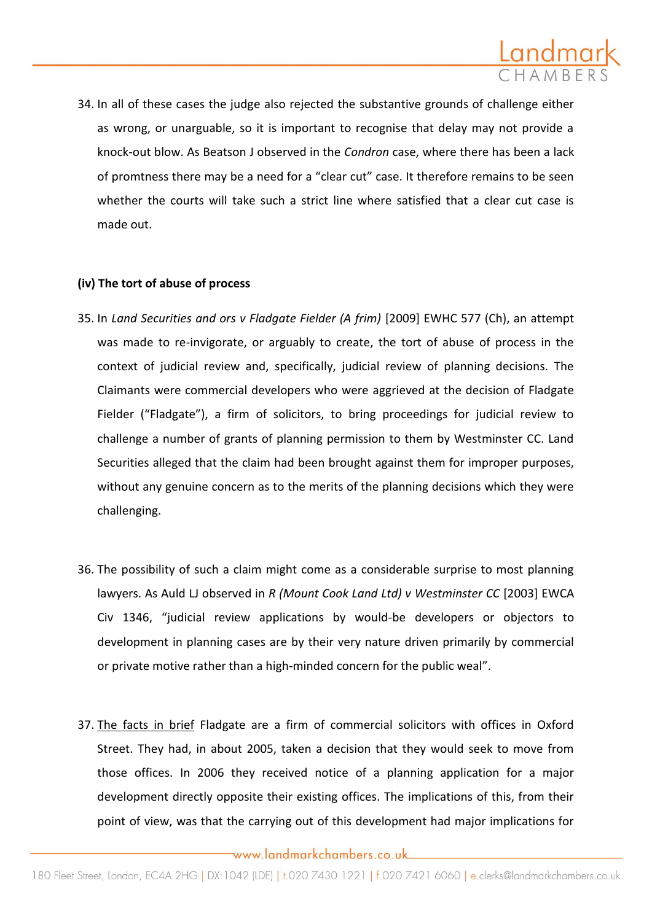

34. In all of these cases the judge also rejected the substantive grounds of challenge either as wrong, or unarguable, so it is important to recognise that delay may not provide a knock-out blow. As Beatson J observed in the *Condron* case, where there has been a lack of promtness there may be a need for a "clear cut" case. It therefore remains to be seen whether the courts will take such a strict line where satisfied that a clear cut case is made out.

### **(iv) The tort of abuse of process**

- 35. In *Land Securities and ors v Fladgate Fielder (A frim)* [2009] EWHC 577 (Ch), an attempt was made to re-invigorate, or arguably to create, the tort of abuse of process in the context of judicial review and, specifically, judicial review of planning decisions. The Claimants were commercial developers who were aggrieved at the decision of Fladgate Fielder ("Fladgate"), a firm of solicitors, to bring proceedings for judicial review to challenge a number of grants of planning permission to them by Westminster CC. Land Securities alleged that the claim had been brought against them for improper purposes, without any genuine concern as to the merits of the planning decisions which they were challenging.
- 36. The possibility of such a claim might come as a considerable surprise to most planning lawyers. As Auld LJ observed in *R (Mount Cook Land Ltd) v Westminster CC* [2003] EWCA Civ 1346, "judicial review applications by would-be developers or objectors to development in planning cases are by their very nature driven primarily by commercial or private motive rather than a high-minded concern for the public weal".
- 37. The facts in brief Fladgate are a firm of commercial solicitors with offices in Oxford Street. They had, in about 2005, taken a decision that they would seek to move from those offices. In 2006 they received notice of a planning application for a major development directly opposite their existing offices. The implications of this, from their point of view, was that the carrying out of this development had major implications for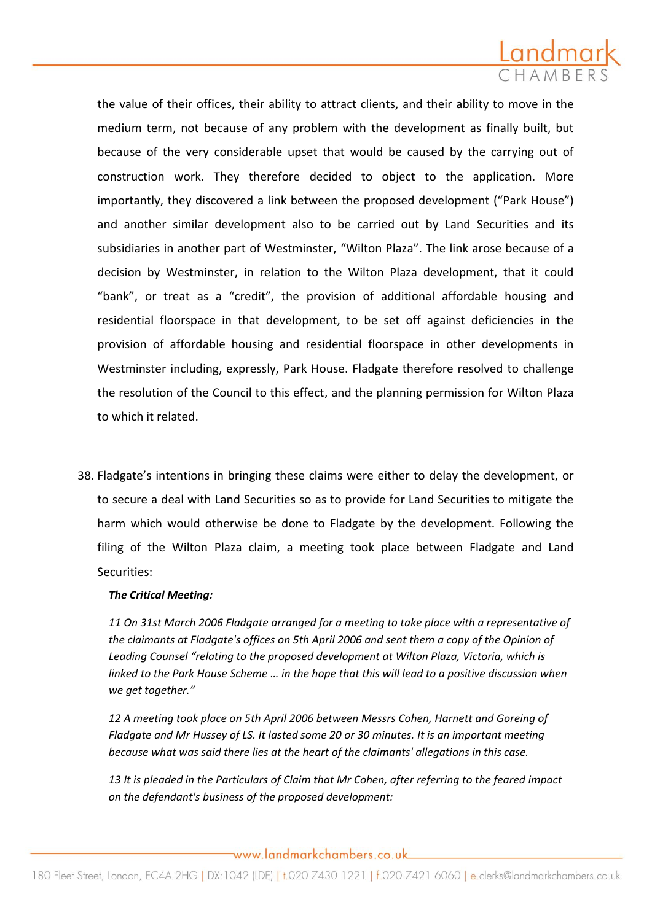

the value of their offices, their ability to attract clients, and their ability to move in the medium term, not because of any problem with the development as finally built, but because of the very considerable upset that would be caused by the carrying out of construction work. They therefore decided to object to the application. More importantly, they discovered a link between the proposed development ("Park House") and another similar development also to be carried out by Land Securities and its subsidiaries in another part of Westminster, "Wilton Plaza". The link arose because of a decision by Westminster, in relation to the Wilton Plaza development, that it could "bank", or treat as a "credit", the provision of additional affordable housing and residential floorspace in that development, to be set off against deficiencies in the provision of affordable housing and residential floorspace in other developments in Westminster including, expressly, Park House. Fladgate therefore resolved to challenge the resolution of the Council to this effect, and the planning permission for Wilton Plaza to which it related.

38. Fladgate's intentions in bringing these claims were either to delay the development, or to secure a deal with Land Securities so as to provide for Land Securities to mitigate the harm which would otherwise be done to Fladgate by the development. Following the filing of the Wilton Plaza claim, a meeting took place between Fladgate and Land Securities:

#### *The Critical Meeting:*

*11 On 31st March 2006 Fladgate arranged for a meeting to take place with a representative of the claimants at Fladgate's offices on 5th April 2006 and sent them a copy of the Opinion of*  Leading Counsel "relating to the proposed development at Wilton Plaza, Victoria, which is *linked to the Park House Scheme … in the hope that this will lead to a positive discussion when we get together."*

*12 A meeting took place on 5th April 2006 between Messrs Cohen, Harnett and Goreing of Fladgate and Mr Hussey of LS. It lasted some 20 or 30 minutes. It is an important meeting because what was said there lies at the heart of the claimants' allegations in this case.*

*13 It is pleaded in the Particulars of Claim that Mr Cohen, after referring to the feared impact on the defendant's business of the proposed development:*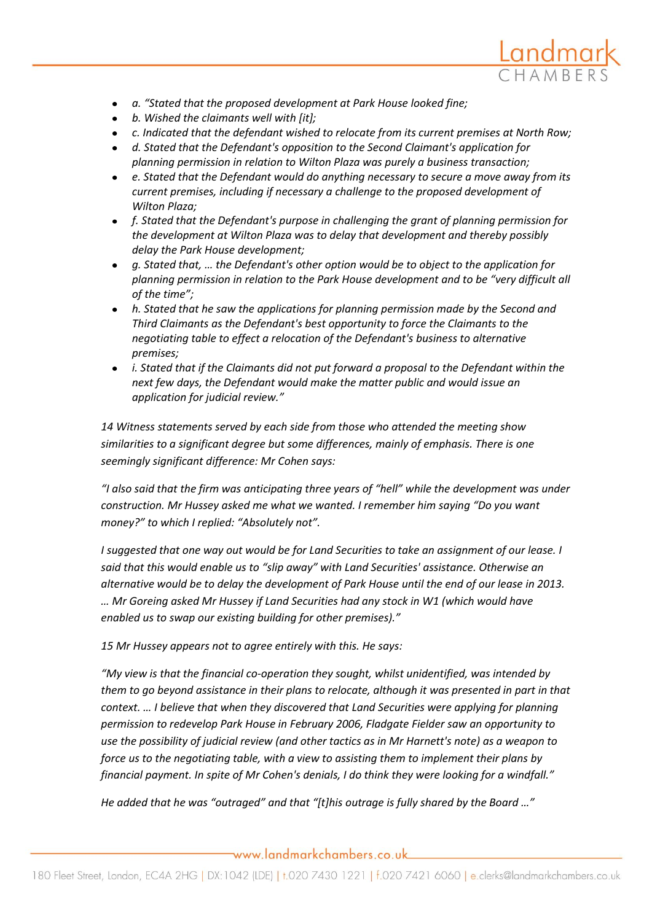

- *a. "Stated that the proposed development at Park House looked fine;*
- *b. Wished the claimants well with [it];*
- *c. Indicated that the defendant wished to relocate from its current premises at North Row;*
- *d. Stated that the Defendant's opposition to the Second Claimant's application for planning permission in relation to Wilton Plaza was purely a business transaction;*
- *e. Stated that the Defendant would do anything necessary to secure a move away from its current premises, including if necessary a challenge to the proposed development of Wilton Plaza;*
- *f. Stated that the Defendant's purpose in challenging the grant of planning permission for the development at Wilton Plaza was to delay that development and thereby possibly delay the Park House development;*
- *g. Stated that, … the Defendant's other option would be to object to the application for planning permission in relation to the Park House development and to be "very difficult all of the time";*
- *h. Stated that he saw the applications for planning permission made by the Second and Third Claimants as the Defendant's best opportunity to force the Claimants to the negotiating table to effect a relocation of the Defendant's business to alternative premises;*
- *i. Stated that if the Claimants did not put forward a proposal to the Defendant within the next few days, the Defendant would make the matter public and would issue an application for judicial review."*

*14 Witness statements served by each side from those who attended the meeting show similarities to a significant degree but some differences, mainly of emphasis. There is one seemingly significant difference: Mr Cohen says:* 

*"I also said that the firm was anticipating three years of "hell" while the development was under construction. Mr Hussey asked me what we wanted. I remember him saying "Do you want money?" to which I replied: "Absolutely not".*

*I suggested that one way out would be for Land Securities to take an assignment of our lease. I said that this would enable us to "slip away" with Land Securities' assistance. Otherwise an alternative would be to delay the development of Park House until the end of our lease in 2013. … Mr Goreing asked Mr Hussey if Land Securities had any stock in W1 (which would have enabled us to swap our existing building for other premises)."*

*15 Mr Hussey appears not to agree entirely with this. He says:* 

*"My view is that the financial co-operation they sought, whilst unidentified, was intended by them to go beyond assistance in their plans to relocate, although it was presented in part in that context. … I believe that when they discovered that Land Securities were applying for planning permission to redevelop Park House in February 2006, Fladgate Fielder saw an opportunity to use the possibility of judicial review (and other tactics as in Mr Harnett's note) as a weapon to force us to the negotiating table, with a view to assisting them to implement their plans by financial payment. In spite of Mr Cohen's denials, I do think they were looking for a windfall."*

He added that he was "outraged" and that "[t]his outrage is fully shared by the Board ..."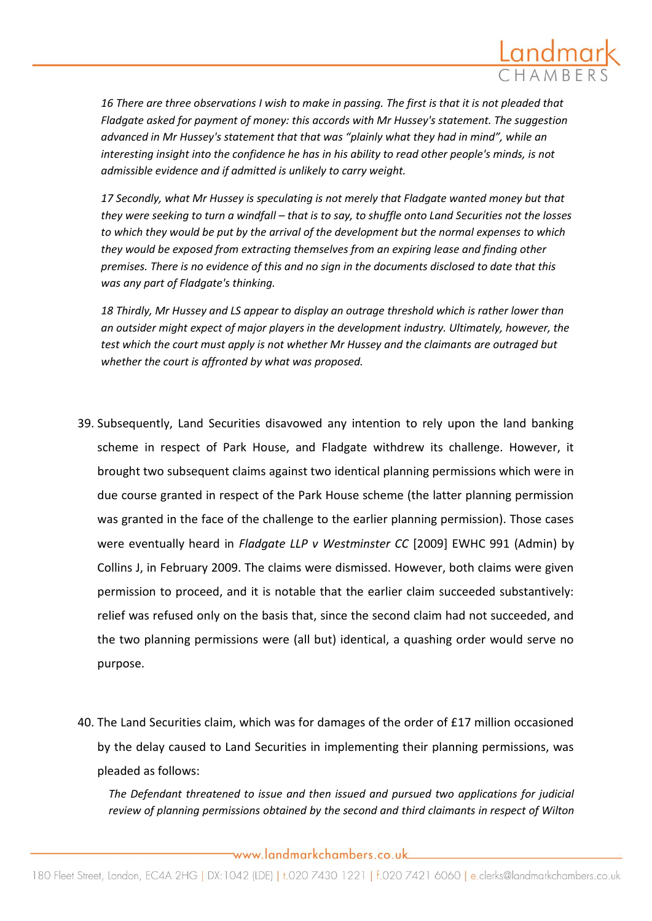

*16 There are three observations I wish to make in passing. The first is that it is not pleaded that Fladgate asked for payment of money: this accords with Mr Hussey's statement. The suggestion advanced in Mr Hussey's statement that that was "plainly what they had in mind", while an interesting insight into the confidence he has in his ability to read other people's minds, is not admissible evidence and if admitted is unlikely to carry weight.*

*17 Secondly, what Mr Hussey is speculating is not merely that Fladgate wanted money but that they were seeking to turn a windfall – that is to say, to shuffle onto Land Securities not the losses to which they would be put by the arrival of the development but the normal expenses to which they would be exposed from extracting themselves from an expiring lease and finding other premises. There is no evidence of this and no sign in the documents disclosed to date that this was any part of Fladgate's thinking.*

*18 Thirdly, Mr Hussey and LS appear to display an outrage threshold which is rather lower than an outsider might expect of major players in the development industry. Ultimately, however, the test which the court must apply is not whether Mr Hussey and the claimants are outraged but whether the court is affronted by what was proposed.*

- 39. Subsequently, Land Securities disavowed any intention to rely upon the land banking scheme in respect of Park House, and Fladgate withdrew its challenge. However, it brought two subsequent claims against two identical planning permissions which were in due course granted in respect of the Park House scheme (the latter planning permission was granted in the face of the challenge to the earlier planning permission). Those cases were eventually heard in *Fladgate LLP v Westminster CC* [2009] EWHC 991 (Admin) by Collins J, in February 2009. The claims were dismissed. However, both claims were given permission to proceed, and it is notable that the earlier claim succeeded substantively: relief was refused only on the basis that, since the second claim had not succeeded, and the two planning permissions were (all but) identical, a quashing order would serve no purpose.
- 40. The Land Securities claim, which was for damages of the order of £17 million occasioned by the delay caused to Land Securities in implementing their planning permissions, was pleaded as follows:

*The Defendant threatened to issue and then issued and pursued two applications for judicial review of planning permissions obtained by the second and third claimants in respect of Wilton*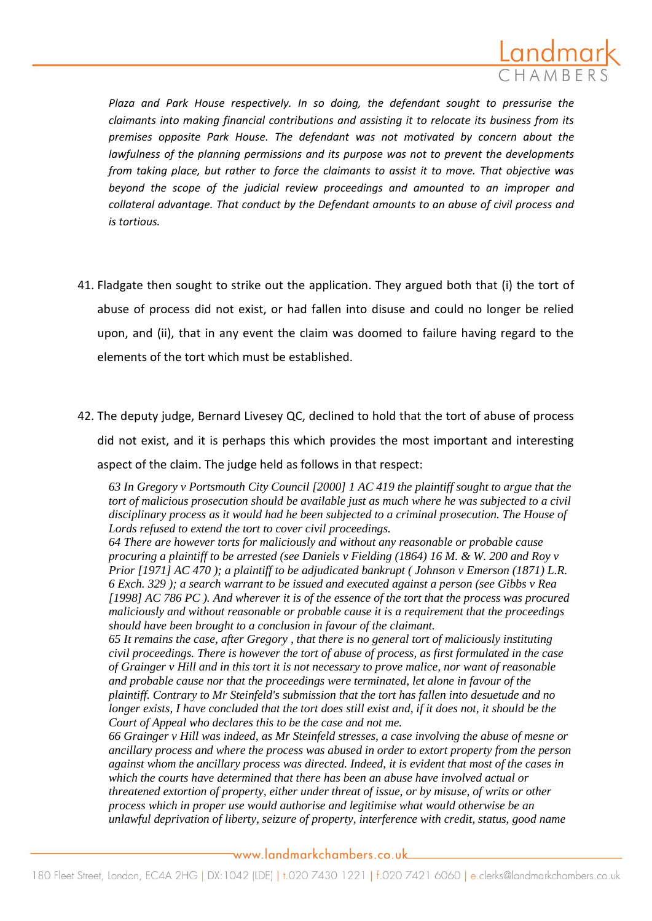

*Plaza and Park House respectively. In so doing, the defendant sought to pressurise the claimants into making financial contributions and assisting it to relocate its business from its premises opposite Park House. The defendant was not motivated by concern about the lawfulness of the planning permissions and its purpose was not to prevent the developments from taking place, but rather to force the claimants to assist it to move. That objective was beyond the scope of the judicial review proceedings and amounted to an improper and collateral advantage. That conduct by the Defendant amounts to an abuse of civil process and is tortious.*

- 41. Fladgate then sought to strike out the application. They argued both that (i) the tort of abuse of process did not exist, or had fallen into disuse and could no longer be relied upon, and (ii), that in any event the claim was doomed to failure having regard to the elements of the tort which must be established.
- 42. The deputy judge, Bernard Livesey QC, declined to hold that the tort of abuse of process did not exist, and it is perhaps this which provides the most important and interesting aspect of the claim. The judge held as follows in that respect:

*63 In Gregory v Portsmouth City Council [2000] 1 AC 419 the plaintiff sought to argue that the tort of malicious prosecution should be available just as much where he was subjected to a civil disciplinary process as it would had he been subjected to a criminal prosecution. The House of Lords refused to extend the tort to cover civil proceedings.* 

*64 There are however torts for maliciously and without any reasonable or probable cause procuring a plaintiff to be arrested (see Daniels v Fielding (1864) 16 M. & W. 200 and Roy v Prior [1971] AC 470 ); a plaintiff to be adjudicated bankrupt ( Johnson v Emerson (1871) L.R. 6 Exch. 329 ); a search warrant to be issued and executed against a person (see Gibbs v Rea [1998] AC 786 PC ). And wherever it is of the essence of the tort that the process was procured maliciously and without reasonable or probable cause it is a requirement that the proceedings should have been brought to a conclusion in favour of the claimant.* 

*65 It remains the case, after Gregory , that there is no general tort of maliciously instituting civil proceedings. There is however the tort of abuse of process, as first formulated in the case of Grainger v Hill and in this tort it is not necessary to prove malice, nor want of reasonable and probable cause nor that the proceedings were terminated, let alone in favour of the plaintiff. Contrary to Mr Steinfeld's submission that the tort has fallen into desuetude and no longer exists, I have concluded that the tort does still exist and, if it does not, it should be the Court of Appeal who declares this to be the case and not me.* 

*66 Grainger v Hill was indeed, as Mr Steinfeld stresses, a case involving the abuse of mesne or ancillary process and where the process was abused in order to extort property from the person against whom the ancillary process was directed. Indeed, it is evident that most of the cases in which the courts have determined that there has been an abuse have involved actual or threatened extortion of property, either under threat of issue, or by misuse, of writs or other process which in proper use would authorise and legitimise what would otherwise be an unlawful deprivation of liberty, seizure of property, interference with credit, status, good name*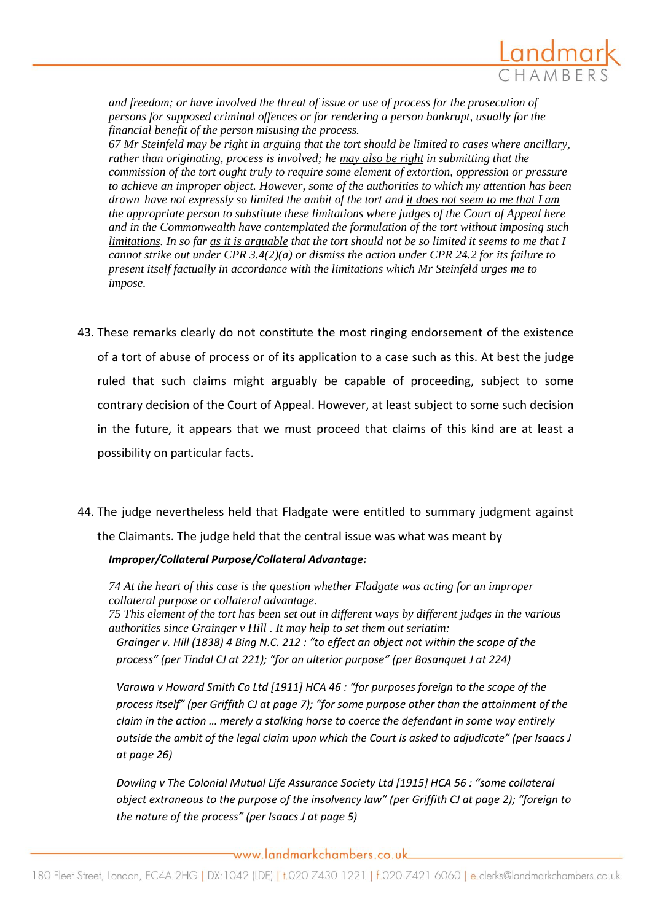

*and freedom; or have involved the threat of issue or use of process for the prosecution of persons for supposed criminal offences or for rendering a person bankrupt, usually for the financial benefit of the person misusing the process.* 

*67 Mr Steinfeld may be right in arguing that the tort should be limited to cases where ancillary, rather than originating, process is involved; he may also be right in submitting that the commission of the tort ought truly to require some element of extortion, oppression or pressure to achieve an improper object. However, some of the authorities to which my attention has been drawn have not expressly so limited the ambit of the tort and it does not seem to me that I am the appropriate person to substitute these limitations where judges of the Court of Appeal here and in the Commonwealth have contemplated the formulation of the tort without imposing such limitations. In so far as it is arguable that the tort should not be so limited it seems to me that I cannot strike out under CPR 3.4(2)(a) or dismiss the action under CPR 24.2 for its failure to present itself factually in accordance with the limitations which Mr Steinfeld urges me to impose.* 

- 43. These remarks clearly do not constitute the most ringing endorsement of the existence of a tort of abuse of process or of its application to a case such as this. At best the judge ruled that such claims might arguably be capable of proceeding, subject to some contrary decision of the Court of Appeal. However, at least subject to some such decision in the future, it appears that we must proceed that claims of this kind are at least a possibility on particular facts.
- 44. The judge nevertheless held that Fladgate were entitled to summary judgment against the Claimants. The judge held that the central issue was what was meant by

#### *Improper/Collateral Purpose/Collateral Advantage:*

*74 At the heart of this case is the question whether Fladgate was acting for an improper collateral purpose or collateral advantage.*

*75 This element of the tort has been set out in different ways by different judges in the various authorities since Grainger v Hill . It may help to set them out seriatim:*

*Grainger v. Hill (1838) 4 Bing N.C. 212 : "to effect an object not within the scope of the process" (per Tindal CJ at 221); "for an ulterior purpose" (per Bosanquet J at 224)* 

*Varawa v Howard Smith Co Ltd [1911] HCA 46 : "for purposes foreign to the scope of the process itself" (per Griffith CJ at page 7); "for some purpose other than the attainment of the claim in the action … merely a stalking horse to coerce the defendant in some way entirely outside the ambit of the legal claim upon which the Court is asked to adjudicate" (per Isaacs J at page 26)* 

*Dowling v The Colonial Mutual Life Assurance Society Ltd [1915] HCA 56 : "some collateral object extraneous to the purpose of the insolvency law" (per Griffith CJ at page 2); "foreign to the nature of the process" (per Isaacs J at page 5)*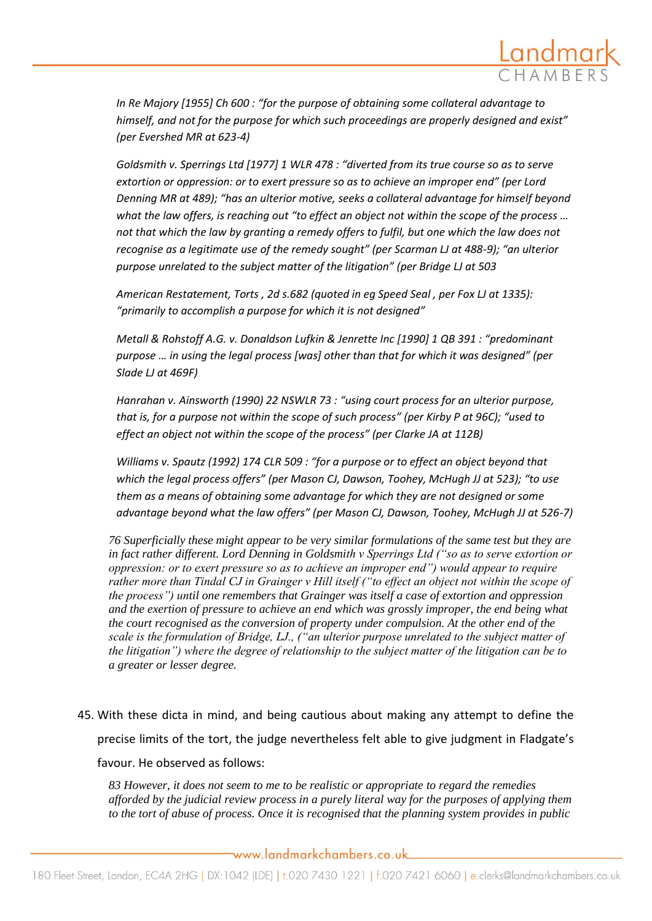

In Re Majory [1955] Ch 600 : "for the purpose of obtaining some collateral advantage to *himself, and not for the purpose for which such proceedings are properly designed and exist" (per Evershed MR at 623-4)* 

Goldsmith v. Sperrings Ltd [1977] 1 WLR 478 : "diverted from its true course so as to serve *extortion or oppression: or to exert pressure so as to achieve an improper end" (per Lord Denning MR at 489); "has an ulterior motive, seeks a collateral advantage for himself beyond what the law offers, is reaching out "to effect an object not within the scope of the process … not that which the law by granting a remedy offers to fulfil, but one which the law does not recognise as a legitimate use of the remedy sought" (per Scarman LJ at 488-9); "an ulterior purpose unrelated to the subject matter of the litigation" (per Bridge LJ at 503* 

*American Restatement, Torts , 2d s.682 (quoted in eg Speed Seal , per Fox LJ at 1335): "primarily to accomplish a purpose for which it is not designed"* 

*Metall & Rohstoff A.G. v. Donaldson Lufkin & Jenrette Inc \*1990+ 1 QB 391 : "predominant*  purpose ... in using the legal process (was) other than that for which it was designed" (per *Slade LJ at 469F)* 

*Hanrahan v. Ainsworth (1990) 22 NSWLR 73 : "using court process for an ulterior purpose, that is, for a purpose not within the scope of such process" (per Kirby P at 96C); "used to effect an object not within the scope of the process" (per Clarke JA at 112B)* 

*Williams v. Spautz (1992) 174 CLR 509 : "for a purpose or to effect an object beyond that which the legal process offers" (per Mason CJ, Dawson, Toohey, McHugh JJ at 523); "to use them as a means of obtaining some advantage for which they are not designed or some advantage beyond what the law offers" (per Mason CJ, Dawson, Toohey, McHugh JJ at 526-7)* 

*76 Superficially these might appear to be very similar formulations of the same test but they are*  in fact rather different. Lord Denning in Goldsmith v Sperrings Ltd ("so as to serve extortion or *oppression: or to exert pressure so as to achieve an improper end") would appear to require* rather more than Tindal CJ in Grainger v Hill itself ("to effect an object not within the scope of *the process‖) until one remembers that Grainger was itself a case of extortion and oppression and the exertion of pressure to achieve an end which was grossly improper, the end being what the court recognised as the conversion of property under compulsion. At the other end of the*  scale is the formulation of Bridge, LJ., ("an ulterior purpose unrelated to the subject matter of *the litigation‖) where the degree of relationship to the subject matter of the litigation can be to a greater or lesser degree.* 

45. With these dicta in mind, and being cautious about making any attempt to define the precise limits of the tort, the judge nevertheless felt able to give judgment in Fladgate's favour. He observed as follows:

*83 However, it does not seem to me to be realistic or appropriate to regard the remedies afforded by the judicial review process in a purely literal way for the purposes of applying them to the tort of abuse of process. Once it is recognised that the planning system provides in public*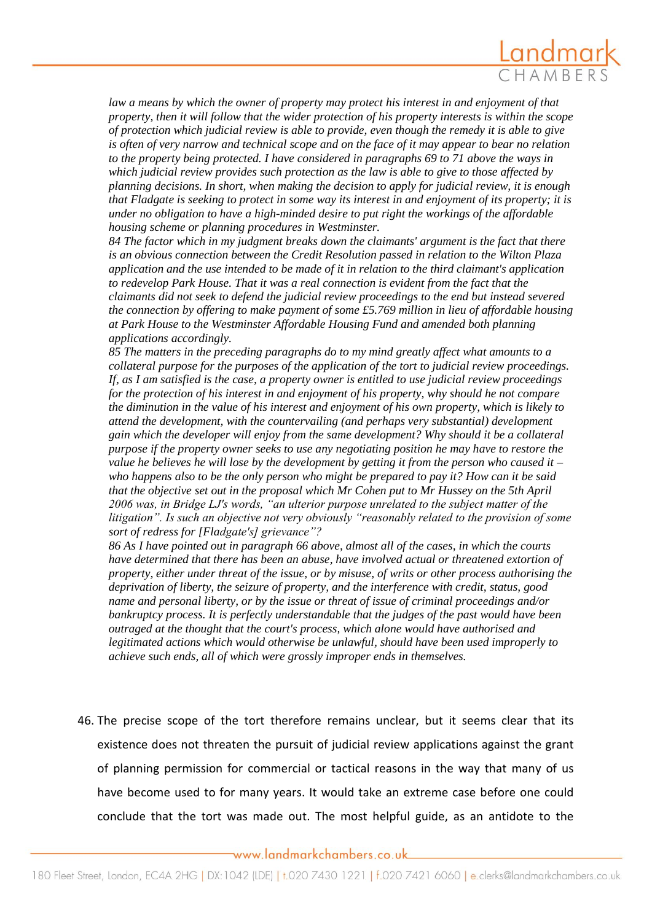

law a means by which the owner of property may protect his interest in and enjoyment of that *property, then it will follow that the wider protection of his property interests is within the scope of protection which judicial review is able to provide, even though the remedy it is able to give is often of very narrow and technical scope and on the face of it may appear to bear no relation to the property being protected. I have considered in paragraphs 69 to 71 above the ways in which judicial review provides such protection as the law is able to give to those affected by planning decisions. In short, when making the decision to apply for judicial review, it is enough that Fladgate is seeking to protect in some way its interest in and enjoyment of its property; it is under no obligation to have a high-minded desire to put right the workings of the affordable housing scheme or planning procedures in Westminster.*

*84 The factor which in my judgment breaks down the claimants' argument is the fact that there is an obvious connection between the Credit Resolution passed in relation to the Wilton Plaza application and the use intended to be made of it in relation to the third claimant's application to redevelop Park House. That it was a real connection is evident from the fact that the claimants did not seek to defend the judicial review proceedings to the end but instead severed the connection by offering to make payment of some £5.769 million in lieu of affordable housing at Park House to the Westminster Affordable Housing Fund and amended both planning applications accordingly.*

*85 The matters in the preceding paragraphs do to my mind greatly affect what amounts to a collateral purpose for the purposes of the application of the tort to judicial review proceedings. If, as I am satisfied is the case, a property owner is entitled to use judicial review proceedings for the protection of his interest in and enjoyment of his property, why should he not compare the diminution in the value of his interest and enjoyment of his own property, which is likely to attend the development, with the countervailing (and perhaps very substantial) development gain which the developer will enjoy from the same development? Why should it be a collateral purpose if the property owner seeks to use any negotiating position he may have to restore the value he believes he will lose by the development by getting it from the person who caused it – who happens also to be the only person who might be prepared to pay it? How can it be said that the objective set out in the proposal which Mr Cohen put to Mr Hussey on the 5th April*  2006 was, in Bridge LJ's words, "an ulterior purpose unrelated to the subject matter of the litigation". Is such an objective not very obviously "reasonably related to the provision of some *sort of redress for [Fladgate's] grievance*"?

*86 As I have pointed out in paragraph 66 above, almost all of the cases, in which the courts have determined that there has been an abuse, have involved actual or threatened extortion of property, either under threat of the issue, or by misuse, of writs or other process authorising the deprivation of liberty, the seizure of property, and the interference with credit, status, good name and personal liberty, or by the issue or threat of issue of criminal proceedings and/or bankruptcy process. It is perfectly understandable that the judges of the past would have been outraged at the thought that the court's process, which alone would have authorised and legitimated actions which would otherwise be unlawful, should have been used improperly to achieve such ends, all of which were grossly improper ends in themselves.*

46. The precise scope of the tort therefore remains unclear, but it seems clear that its existence does not threaten the pursuit of judicial review applications against the grant of planning permission for commercial or tactical reasons in the way that many of us have become used to for many years. It would take an extreme case before one could conclude that the tort was made out. The most helpful guide, as an antidote to the